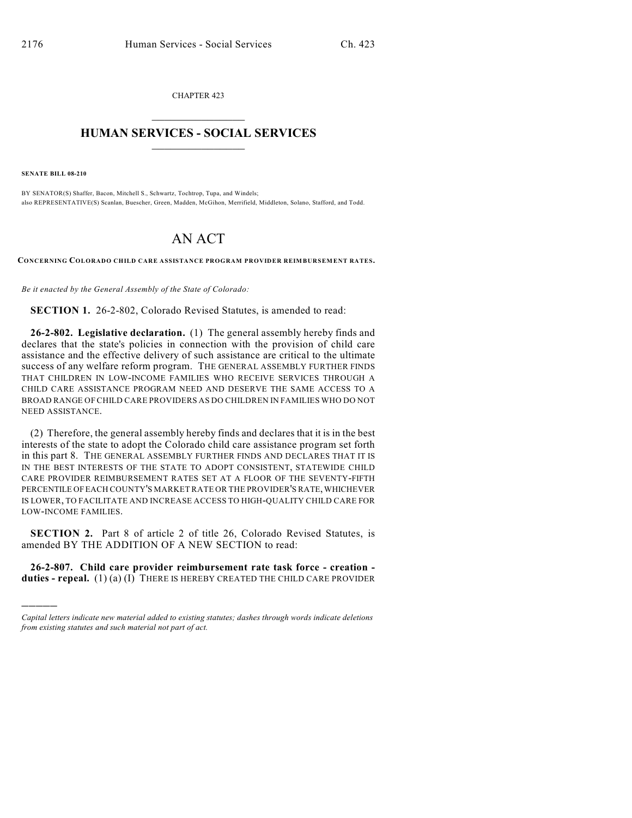CHAPTER 423  $\mathcal{L}_\text{max}$  . The set of the set of the set of the set of the set of the set of the set of the set of the set of the set of the set of the set of the set of the set of the set of the set of the set of the set of the set

## **HUMAN SERVICES - SOCIAL SERVICES**  $\frac{1}{2}$  ,  $\frac{1}{2}$  ,  $\frac{1}{2}$  ,  $\frac{1}{2}$  ,  $\frac{1}{2}$  ,  $\frac{1}{2}$  ,  $\frac{1}{2}$

**SENATE BILL 08-210**

)))))

BY SENATOR(S) Shaffer, Bacon, Mitchell S., Schwartz, Tochtrop, Tupa, and Windels; also REPRESENTATIVE(S) Scanlan, Buescher, Green, Madden, McGihon, Merrifield, Middleton, Solano, Stafford, and Todd.

## AN ACT

**CONCERNING COLORADO CHILD CARE ASSISTANCE PROGRAM PROVIDER REIMBURSEMENT RATES.**

*Be it enacted by the General Assembly of the State of Colorado:*

**SECTION 1.** 26-2-802, Colorado Revised Statutes, is amended to read:

**26-2-802. Legislative declaration.** (1) The general assembly hereby finds and declares that the state's policies in connection with the provision of child care assistance and the effective delivery of such assistance are critical to the ultimate success of any welfare reform program. THE GENERAL ASSEMBLY FURTHER FINDS THAT CHILDREN IN LOW-INCOME FAMILIES WHO RECEIVE SERVICES THROUGH A CHILD CARE ASSISTANCE PROGRAM NEED AND DESERVE THE SAME ACCESS TO A BROAD RANGE OF CHILD CARE PROVIDERS AS DO CHILDREN IN FAMILIES WHO DO NOT NEED ASSISTANCE.

(2) Therefore, the general assembly hereby finds and declares that it is in the best interests of the state to adopt the Colorado child care assistance program set forth in this part 8. THE GENERAL ASSEMBLY FURTHER FINDS AND DECLARES THAT IT IS IN THE BEST INTERESTS OF THE STATE TO ADOPT CONSISTENT, STATEWIDE CHILD CARE PROVIDER REIMBURSEMENT RATES SET AT A FLOOR OF THE SEVENTY-FIFTH PERCENTILE OF EACH COUNTY'S MARKET RATE OR THE PROVIDER'S RATE, WHICHEVER IS LOWER, TO FACILITATE AND INCREASE ACCESS TO HIGH-QUALITY CHILD CARE FOR LOW-INCOME FAMILIES.

**SECTION 2.** Part 8 of article 2 of title 26, Colorado Revised Statutes, is amended BY THE ADDITION OF A NEW SECTION to read:

**26-2-807. Child care provider reimbursement rate task force - creation**  duties - repeal. (1) (a) (I) THERE IS HEREBY CREATED THE CHILD CARE PROVIDER

*Capital letters indicate new material added to existing statutes; dashes through words indicate deletions from existing statutes and such material not part of act.*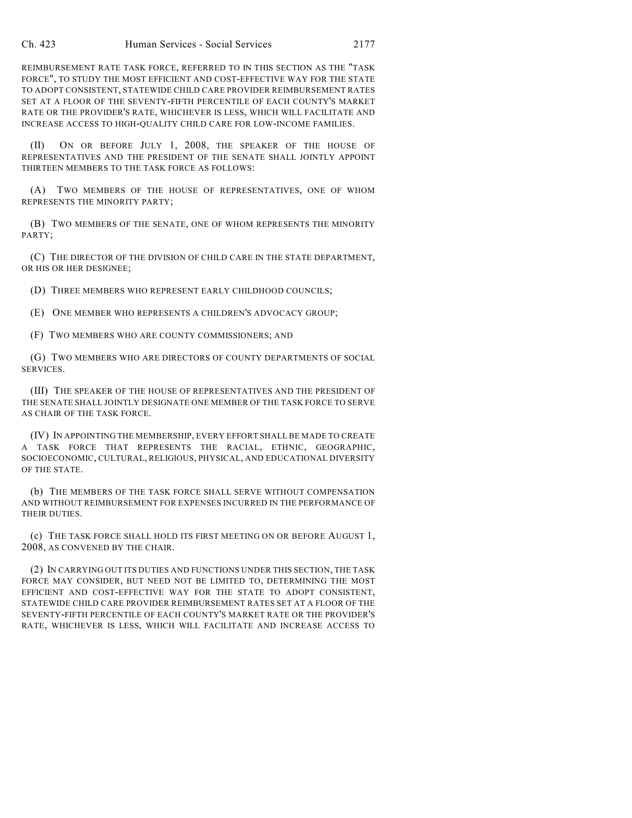REIMBURSEMENT RATE TASK FORCE, REFERRED TO IN THIS SECTION AS THE "TASK FORCE", TO STUDY THE MOST EFFICIENT AND COST-EFFECTIVE WAY FOR THE STATE TO ADOPT CONSISTENT, STATEWIDE CHILD CARE PROVIDER REIMBURSEMENT RATES SET AT A FLOOR OF THE SEVENTY-FIFTH PERCENTILE OF EACH COUNTY'S MARKET RATE OR THE PROVIDER'S RATE, WHICHEVER IS LESS, WHICH WILL FACILITATE AND INCREASE ACCESS TO HIGH-QUALITY CHILD CARE FOR LOW-INCOME FAMILIES.

(II) ON OR BEFORE JULY 1, 2008, THE SPEAKER OF THE HOUSE OF REPRESENTATIVES AND THE PRESIDENT OF THE SENATE SHALL JOINTLY APPOINT THIRTEEN MEMBERS TO THE TASK FORCE AS FOLLOWS:

(A) TWO MEMBERS OF THE HOUSE OF REPRESENTATIVES, ONE OF WHOM REPRESENTS THE MINORITY PARTY;

(B) TWO MEMBERS OF THE SENATE, ONE OF WHOM REPRESENTS THE MINORITY PARTY;

(C) THE DIRECTOR OF THE DIVISION OF CHILD CARE IN THE STATE DEPARTMENT, OR HIS OR HER DESIGNEE;

(D) THREE MEMBERS WHO REPRESENT EARLY CHILDHOOD COUNCILS;

(E) ONE MEMBER WHO REPRESENTS A CHILDREN'S ADVOCACY GROUP;

(F) TWO MEMBERS WHO ARE COUNTY COMMISSIONERS; AND

(G) TWO MEMBERS WHO ARE DIRECTORS OF COUNTY DEPARTMENTS OF SOCIAL SERVICES.

(III) THE SPEAKER OF THE HOUSE OF REPRESENTATIVES AND THE PRESIDENT OF THE SENATE SHALL JOINTLY DESIGNATE ONE MEMBER OF THE TASK FORCE TO SERVE AS CHAIR OF THE TASK FORCE.

(IV) IN APPOINTING THE MEMBERSHIP, EVERY EFFORT SHALL BE MADE TO CREATE A TASK FORCE THAT REPRESENTS THE RACIAL, ETHNIC, GEOGRAPHIC, SOCIOECONOMIC, CULTURAL, RELIGIOUS, PHYSICAL, AND EDUCATIONAL DIVERSITY OF THE STATE.

(b) THE MEMBERS OF THE TASK FORCE SHALL SERVE WITHOUT COMPENSATION AND WITHOUT REIMBURSEMENT FOR EXPENSES INCURRED IN THE PERFORMANCE OF THEIR DUTIES.

(c) THE TASK FORCE SHALL HOLD ITS FIRST MEETING ON OR BEFORE AUGUST 1, 2008, AS CONVENED BY THE CHAIR.

(2) IN CARRYING OUT ITS DUTIES AND FUNCTIONS UNDER THIS SECTION, THE TASK FORCE MAY CONSIDER, BUT NEED NOT BE LIMITED TO, DETERMINING THE MOST EFFICIENT AND COST-EFFECTIVE WAY FOR THE STATE TO ADOPT CONSISTENT, STATEWIDE CHILD CARE PROVIDER REIMBURSEMENT RATES SET AT A FLOOR OF THE SEVENTY-FIFTH PERCENTILE OF EACH COUNTY'S MARKET RATE OR THE PROVIDER'S RATE, WHICHEVER IS LESS, WHICH WILL FACILITATE AND INCREASE ACCESS TO